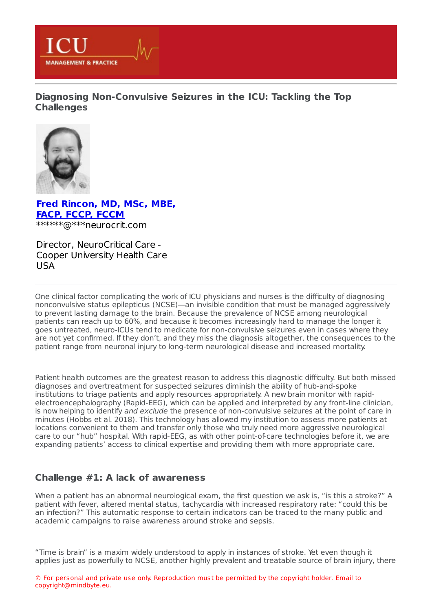

**Diagnosing [Non-Convulsive](https://healthmanagement.org/s/diagnosing-non-convulsive-seizures-in-the-icu-tackling-the-top-challenges) Seizures in the ICU: Tackling the Top Challenges**



**Fred [Rincon,](https://healthmanagement.org/viewProfile/128787/Fred_Rincon) MD, MSc, MBE, FACP, FCCP, FCCM** \*\*\*\*\*\*@\*\*\*neurocrit.com

Director, NeuroCritical Care - Cooper University Health Care USA

One clinical factor complicating the work of ICU physicians and nurses is the difficulty of diagnosing nonconvulsive status epilepticus (NCSE)—an invisible condition that must be managed aggressively to prevent lasting damage to the brain. Because the prevalence of NCSE among neurological patients can reach up to 60%, and because it becomes increasingly hard to manage the longer it goes untreated, neuro-ICUs tend to medicate for non-convulsive seizures even in cases where they are not yet confirmed. If they don't, and they miss the diagnosis altogether, the consequences to the patient range from neuronal injury to long-term neurological disease and increased mortality.

Patient health outcomes are the greatest reason to address this diagnostic difficulty. But both missed diagnoses and overtreatment for suspected seizures diminish the ability of hub-and-spoke institutions to triage patients and apply resources appropriately. A new brain monitor with rapidelectroencephalography (Rapid-EEG), which can be applied and interpreted by any front-line clinician, is now helping to identify and exclude the presence of non-convulsive seizures at the point of care in minutes (Hobbs et al. 2018). This technology has allowed my institution to assess more patients at locations convenient to them and transfer only those who truly need more aggressive neurological care to our "hub" hospital. With rapid-EEG, as with other point-of-care technologies before it, we are expanding patients' access to clinical expertise and providing them with more appropriate care.

### **Challenge #1: A lack of awareness**

When a patient has an abnormal neurological exam, the first question we ask is, "is this a stroke?" A patient with fever, altered mental status, tachycardia with increased respiratory rate: "could this be an infection?" This automatic response to certain indicators can be traced to the many public and academic campaigns to raise awareness around stroke and sepsis.

"Time is brain" is a maxim widely understood to apply in instances of stroke. Yet even though it applies just as powerfully to NCSE, another highly prevalent and treatable source of brain injury, there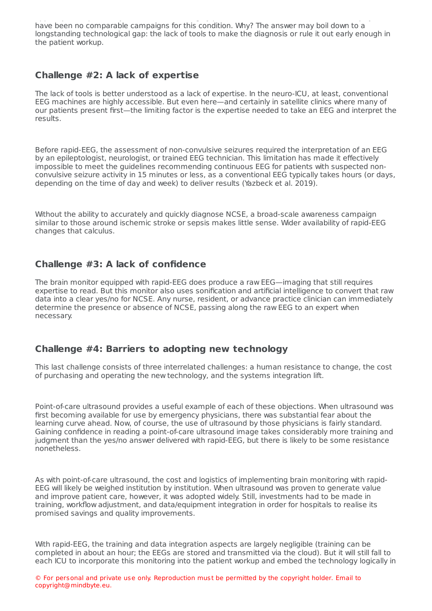applies to NCSE, and the NCSE, and treatable source of brain injury, there is the brain injury, there is the  $\alpha$ have been no comparable campaigns for this condition. Why? The answer may boil down to a longstanding technological gap: the lack of tools to make the diagnosis or rule it out early enough in the patient workup.

# **Challenge #2: A lack of expertise**

The lack of tools is better understood as a lack of expertise. In the neuro-ICU, at least, conventional EEG machines are highly accessible. But even here—and certainly in satellite clinics where many of our patients present first—the limiting factor is the expertise needed to take an EEG and interpret the results.

Before rapid-EEG, the assessment of non-convulsive seizures required the interpretation of an EEG by an epileptologist, neurologist, or trained EEG technician. This limitation has made it effectively impossible to meet the guidelines recommending continuous EEG for patients with suspected nonconvulsive seizure activity in 15 minutes or less, as a conventional EEG typically takes hours (or days, depending on the time of day and week) to deliver results (Yazbeck et al. 2019).

Without the ability to accurately and quickly diagnose NCSE, a broad-scale awareness campaign similar to those around ischemic stroke or sepsis makes little sense. Wider availability of rapid-EEG changes that calculus.

# **Challenge #3: A lack of confidence**

The brain monitor equipped with rapid-EEG does produce a raw EEG—imaging that still requires expertise to read. But this monitor also uses sonification and artificial intelligence to convert that raw data into a clear yes/no for NCSE. Any nurse, resident, or advance practice clinician can immediately determine the presence or absence of NCSE, passing along the raw EEG to an expert when necessary.

### **Challenge #4: Barriers to adopting new technology**

This last challenge consists of three interrelated challenges: a human resistance to change, the cost of purchasing and operating the new technology, and the systems integration lift.

Point-of-care ultrasound provides a useful example of each of these objections. When ultrasound was first becoming available for use by emergency physicians, there was substantial fear about the learning curve ahead. Now, of course, the use of ultrasound by those physicians is fairly standard. Gaining confidence in reading a point-of-care ultrasound image takes considerably more training and judgment than the yes/no answer delivered with rapid-EEG, but there is likely to be some resistance nonetheless.

As with point-of-care ultrasound, the cost and logistics of implementing brain monitoring with rapid-EEG will likely be weighed institution by institution. When ultrasound was proven to generate value and improve patient care, however, it was adopted widely. Still, investments had to be made in training, workflow adjustment, and data/equipment integration in order for hospitals to realise its promised savings and quality improvements.

With rapid-EEG, the training and data integration aspects are largely negligible (training can be completed in about an hour; the EEGs are stored and transmitted via the cloud). But it will still fall to each ICU to incorporate this monitoring into the patient workup and embed the technology logically in

© For personal and private use only. Reproduction must be permitted by the copyright holder. Email to copyright@mindbyte.eu.